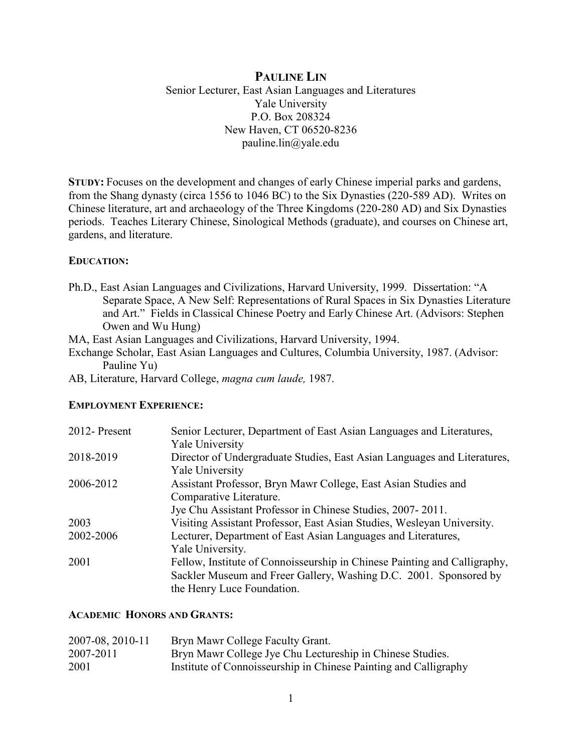## **PAULINE LIN**

Senior Lecturer, East Asian Languages and Literatures Yale University P.O. Box 208324 New Haven, CT 06520-8236 pauline.lin@yale.edu

**STUDY:** Focuses on the development and changes of early Chinese imperial parks and gardens, from the Shang dynasty (circa 1556 to 1046 BC) to the Six Dynasties (220-589 AD). Writes on Chinese literature, art and archaeology of the Three Kingdoms (220-280 AD) and Six Dynasties periods. Teaches Literary Chinese, Sinological Methods (graduate), and courses on Chinese art, gardens, and literature.

#### **EDUCATION:**

Ph.D., East Asian Languages and Civilizations, Harvard University, 1999. Dissertation: "A Separate Space, A New Self: Representations of Rural Spaces in Six Dynasties Literature and Art." Fields in Classical Chinese Poetry and Early Chinese Art. (Advisors: Stephen Owen and Wu Hung)

MA, East Asian Languages and Civilizations, Harvard University, 1994.

- Exchange Scholar, East Asian Languages and Cultures, Columbia University, 1987. (Advisor: Pauline Yu)
- AB, Literature, Harvard College, *magna cum laude,* 1987.

#### **EMPLOYMENT EXPERIENCE:**

| 2012-Present | Senior Lecturer, Department of East Asian Languages and Literatures,      |
|--------------|---------------------------------------------------------------------------|
|              | Yale University                                                           |
| 2018-2019    | Director of Undergraduate Studies, East Asian Languages and Literatures,  |
|              | Yale University                                                           |
| 2006-2012    | Assistant Professor, Bryn Mawr College, East Asian Studies and            |
|              | Comparative Literature.                                                   |
|              | Jye Chu Assistant Professor in Chinese Studies, 2007-2011.                |
| 2003         | Visiting Assistant Professor, East Asian Studies, Wesleyan University.    |
| 2002-2006    | Lecturer, Department of East Asian Languages and Literatures,             |
|              | Yale University.                                                          |
| 2001         | Fellow, Institute of Connoisseurship in Chinese Painting and Calligraphy, |
|              | Sackler Museum and Freer Gallery, Washing D.C. 2001. Sponsored by         |
|              | the Henry Luce Foundation.                                                |

#### **ACADEMIC HONORS AND GRANTS:**

| 2007-08, 2010-11 | Bryn Mawr College Faculty Grant.                                 |
|------------------|------------------------------------------------------------------|
| 2007-2011        | Bryn Mawr College Jye Chu Lectureship in Chinese Studies.        |
| 2001             | Institute of Connoisseurship in Chinese Painting and Calligraphy |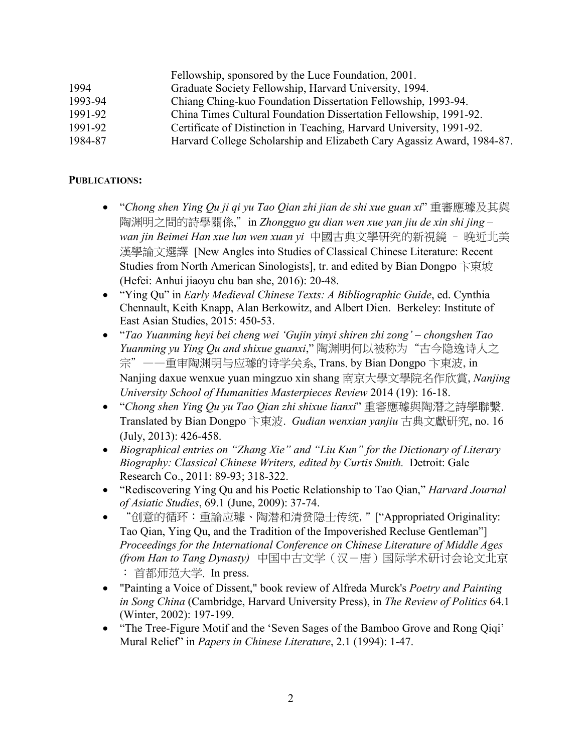|         | Fellowship, sponsored by the Luce Foundation, 2001.                    |
|---------|------------------------------------------------------------------------|
| 1994    | Graduate Society Fellowship, Harvard University, 1994.                 |
| 1993-94 | Chiang Ching-kuo Foundation Dissertation Fellowship, 1993-94.          |
| 1991-92 | China Times Cultural Foundation Dissertation Fellowship, 1991-92.      |
| 1991-92 | Certificate of Distinction in Teaching, Harvard University, 1991-92.   |
| 1984-87 | Harvard College Scholarship and Elizabeth Cary Agassiz Award, 1984-87. |

### **PUBLICATIONS:**

- "*Chong shen Ying Qu ji qi yu Tao Qian zhi jian de shi xue guan xi*" 重審應璩及其與 陶渊明之間的詩學關係,"in *Zhongguo gu dian wen xue yan jiu de xin shi jing – wan jin Beimei Han xue lun wen xuan yi* 中國古典文學研究的新視鏡 – 晚近北美 漢學論文選譯 [New Angles into Studies of Classical Chinese Literature: Recent Studies from North American Sinologists], tr. and edited by Bian Dongpo 卞東坡 (Hefei: Anhui jiaoyu chu ban she, 2016): 20-48.
- "Ying Qu" in *Early Medieval Chinese Texts: A Bibliographic Guide*, ed. Cynthia Chennault, Keith Knapp, Alan Berkowitz, and Albert Dien. Berkeley: Institute of East Asian Studies, 2015: 450-53.
- "*Tao Yuanming heyi bei cheng wei 'Gujin yinyi shiren zhi zong' – chongshen Tao Yuanming yu Ying Qu and shixue guanxi*," 陶渊明何以被称为"古今隐逸诗人之 宗"——重审陶渊明与应璩的诗学关系, Trans. by Bian Dongpo 卞東波, in Nanjing daxue wenxue yuan mingzuo xin shang 南京大學文學院名作欣賞, *Nanjing University School of Humanities Masterpieces Review* 2014 (19): 16-18.
- "*Chong shen Ying Qu yu Tao Qian zhi shixue lianxi*" 重審應璩與陶潛之詩學聯繫. Translated by Bian Dongpo 卞東波. *Gudian wenxian yanjiu* 古典文獻研究, no. 16 (July, 2013): 426-458.
- *Biographical entries on "Zhang Xie" and "Liu Kun" for the Dictionary of Literary Biography: Classical Chinese Writers, edited by Curtis Smith.* Detroit: Gale Research Co., 2011: 89-93; 318-322.
- "Rediscovering Ying Qu and his Poetic Relationship to Tao Qian," *Harvard Journal of Asiatic Studies*, 69.1 (June, 2009): 37-74.
- "创意的循环:重論应璩、陶潜和清贫隐士传统,"["Appropriated Originality: Tao Qian, Ying Qu, and the Tradition of the Impoverished Recluse Gentleman"] *Proceedings for the International Conference on Chinese Literature of Middle Ages (from Han to Tang Dynasty)* 中国中古文学(汉-唐)国际学术研讨会论文北京 : 首都师范大学. In press.
- "Painting a Voice of Dissent," book review of Alfreda Murck's *Poetry and Painting in Song China* (Cambridge, Harvard University Press), in *The Review of Politics* 64.1 (Winter, 2002): 197-199.
- "The Tree-Figure Motif and the 'Seven Sages of the Bamboo Grove and Rong Qiqi' Mural Relief" in *Papers in Chinese Literature*, 2.1 (1994): 1-47.